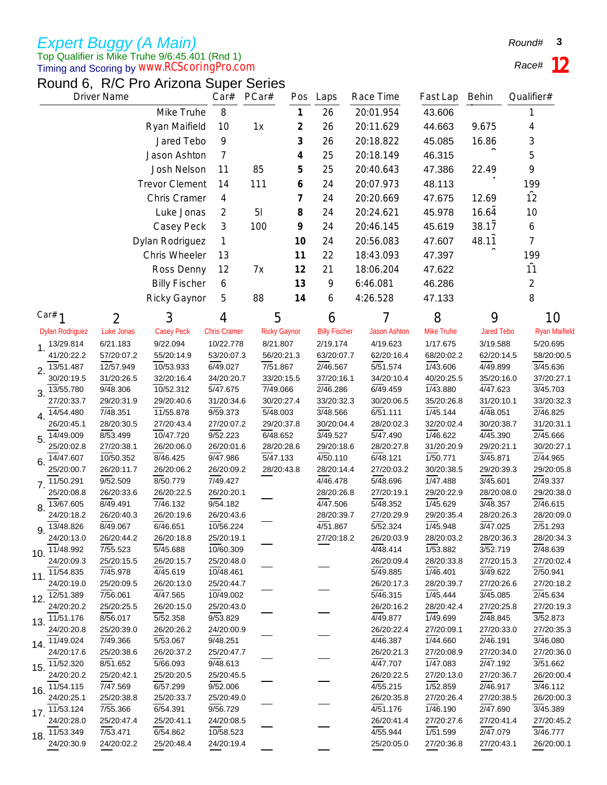## Top Qualifier is Mike Truhe 9/6:45.401 (Rnd 1) *www.RCScoringPro.com Expert Buggy (A Main)*

Timing and Scoring by

Round 6, R/C Pro Arizona Super Series

*Race#* **12**

| <b>Driver Name</b>                      | Car#                   | PCar#                   | Pos                     | Laps           | Race Time           | Fast Lap               | Behin                  | Qualifier#             |                        |                        |
|-----------------------------------------|------------------------|-------------------------|-------------------------|----------------|---------------------|------------------------|------------------------|------------------------|------------------------|------------------------|
|                                         |                        | Mike Truhe              | 8                       |                | 1                   | 26                     | 20:01.954              | 43.606                 |                        |                        |
|                                         |                        | Ryan Maifield           | 10                      | 1x             | 2                   | 26                     | 20:11.629              | 44.663                 | 9.675                  | 4                      |
|                                         |                        | Jared Tebo              | 9                       |                | 3                   | 26                     | 20:18.822              | 45.085                 | 16.86                  | 3                      |
|                                         |                        |                         |                         |                |                     |                        |                        |                        |                        |                        |
|                                         |                        | Jason Ashton            | 7                       |                | 4                   | 25                     | 20:18.149              | 46.315                 |                        | 5                      |
|                                         |                        | Josh Nelson             | 11                      | 85             | 5                   | 25                     | 20:40.643              | 47.386                 | 22.49                  | 9                      |
|                                         |                        | <b>Trevor Clement</b>   | 14                      | 111            | 6                   | 24                     | 20:07.973              | 48.113                 |                        | 199                    |
|                                         |                        | Chris Cramer            | 4                       |                | 7                   | 24                     | 20:20.669              | 47.675                 | 12.69                  | $\overline{12}$        |
|                                         |                        | Luke Jonas              | $\overline{2}$          | 5 <sub>l</sub> | 8                   | 24                     | 20:24.621              | 45.978                 | 16.64                  | 10                     |
|                                         |                        | Casey Peck              | 3                       | 100            | 9                   | 24                     | 20:46.145              | 45.619                 | 38.17                  | 6                      |
|                                         |                        | Dylan Rodriguez         | 1                       |                | 10                  | 24                     | 20:56.083              | 47.607                 | 48.11                  | 7                      |
|                                         |                        | Chris Wheeler           | 13                      |                | 11                  | 22                     | 18:43.093              | 47.397                 |                        | 199                    |
|                                         |                        |                         |                         |                |                     |                        |                        |                        |                        | $\overline{11}$        |
|                                         |                        | Ross Denny              | 12                      | 7х             | 12                  | 21                     | 18:06.204              | 47.622                 |                        |                        |
|                                         |                        | <b>Billy Fischer</b>    | 6                       |                | 13                  | 9                      | 6:46.081               | 46.286                 |                        | 2                      |
|                                         |                        | <b>Ricky Gaynor</b>     | 5                       | 88             | 14                  | 6                      | 4:26.528               | 47.133                 |                        | 8                      |
| Car# $1$                                | 2                      | 3                       | 4                       | 5              |                     | 6                      |                        | 8                      | 9                      | 10                     |
| <b>Dylan Rodriguez</b>                  | <b>Luke Jonas</b>      | <b>Casey Peck</b>       | <b>Chris Cramer</b>     |                | <b>Ricky Gaynor</b> | <b>Billy Fischer</b>   | <b>Jason Ashton</b>    | Mike Truhe             | <b>Jared Tebo</b>      | <b>Ryan Maifield</b>   |
| 13/29.814<br>1.                         | 6/21.183               | 9/22.094                | 10/22.778               | 8/21.807       |                     | 2/19.174               | 4/19.623               | 1/17.675               | 3/19.588               | 5/20.695               |
| 41/20:22.2                              | 57/20:07.2             | 55/20:14.9              | 53/20:07.3              |                | 56/20:21.3          | 63/20:07.7             | 62/20:16.4             | 68/20:02.2             | 62/20:14.5             | 58/20:00.5             |
| 13/51.487<br>2.                         | 12/57.949              | 10/53.933               | 6/49.027                | 7/51.867       |                     | 2/46.567               | $\overline{5/51.574}$  | 1/43.606               | 4/49.899               | 3/45.636               |
| 30/20:19.5                              | 31/20:26.5             | 32/20:16.4              | 34/20:20.7              |                | 33/20:15.5          | 37/20:16.1             | 34/20:10.4             | 40/20:25.5             | 35/20:16.0             | 37/20:27.1             |
| 13/55.780<br>3.                         | 9/48.306               | 10/52.312               | 5/47.675                | 7/49.066       |                     | 2/46.286               | 6/49.459               | 1/43.880               | 4/47.623               | 3/45.703               |
| 27/20:33.7                              | 29/20:31.9             | 29/20:40.6              | 31/20:34.6              |                | 30/20:27.4          | 33/20:32.3             | 30/20:06.5             | 35/20:26.8             | 31/20:10.1             | 33/20:32.3             |
| 14/54.480<br>4.<br>26/20:45.1           | 7/48.351<br>28/20:30.5 | 11/55.878<br>27/20:43.4 | 9/59.373<br>27/20:07.2  | 5/48.003       | 29/20:37.8          | 3/48.566<br>30/20:04.4 | 6/51.111<br>28/20:02.3 | 1/45.144<br>32/20:02.4 | 4/48.051<br>30/20:38.7 | 2/46.825<br>31/20:31.1 |
| 14/49.009                               | 8/53.499               | 10/47.720               | 9/52.223                | 6/48.652       |                     | 3/49.527               | 5/47.490               | 1/46.622               | 4/45.390               | 2/45.666               |
| 5.<br>25/20:02.8                        | 27/20:38.1             | 26/20:06.0              | 26/20:01.6              |                | 28/20:28.6          | 29/20:18.6             | 28/20:27.8             | 31/20:20.9             | 29/20:21.1             | 30/20:27.1             |
| 14/47.607<br>6.                         | 10/50.352              | 8/46.425                | 9/47.986                | 5/47.133       |                     | 4/50.110               | 6/48.121               | 1/50.771               | 3/45.871               | 2/44.965               |
| 25/20:00.7                              | 26/20:11.7             | 26/20:06.2              | 26/20:09.2              |                | 28/20:43.8          | 28/20:14.4             | 27/20:03.2             | 30/20:38.5             | 29/20:39.3             | 29/20:05.8             |
| 11/50.291<br>7 <sub>1</sub>             | 9/52.509               | 8/50.779                | 7/49.427                |                |                     | 4/46.478               | 5/48.696               | 1/47.488               | 3/45.601               | 2/49.337               |
| 25/20:08.8                              | 26/20:33.6             | 26/20:22.5              | 26/20:20.1              |                |                     | 28/20:26.8             | 27/20:19.1             | 29/20:22.9             | 28/20:08.0             | 29/20:38.0             |
| 13/67.605<br>8.                         | 8/49.491               | 7/46.132                | 9/54.182                |                |                     | 4/47.506               | $\overline{5/48.352}$  | 1/45.629               | 3/48.357               | 2/46.615               |
| 24/20:18.2                              | 26/20:40.3             | 26/20:19.6              | 26/20:43.6              |                |                     | 28/20:39.7             | 27/20:29.9             | 29/20:35.4             | 28/20:26.3             | 28/20:09.0             |
| 13/48.826<br>9.                         | 8/49.067               | 6/46.651                | 10/56.224<br>25/20:19.1 |                |                     | 4/51.867               | 5/52.324               | 1/45.948               | 3/47.025               | 2/51.293<br>28/20:34.3 |
| 24/20:13.0<br>$10.\overline{11}/48.992$ | 26/20:44.2<br>7/55.523 | 26/20:18.8<br>5/45.688  | 10/60.309               |                |                     | 27/20:18.2             | 26/20:03.9<br>4/48.414 | 28/20:03.2<br>1/53.882 | 28/20:36.3<br>3/52.719 | 2/48.639               |
| 24/20:09.3                              | 25/20:15.5             | 26/20:15.7              | 25/20:48.0              |                |                     |                        | 26/20:09.4             | 28/20:33.8             | 27/20:15.3             | 27/20:02.4             |
| 11. $11/54.835$                         | 7/45.978               | 4/45.619                | 10/48.461               |                |                     |                        | 5/49.885               | 1/46.401               | 3/49.622               | 2/50.941               |
| 24/20:19.0                              | 25/20:09.5             | 26/20:13.0              | 25/20:44.7              |                |                     |                        | 26/20:17.3             | 28/20:39.7             | 27/20:26.6             | 27/20:18.2             |
| 12. $12^{751.389}$                      | 7/56.061               | 4/47.565                | 10/49.002               |                |                     |                        | 5/46.315               | 1/45.444               | 3/45.085               | 2/45.634               |
| 24/20:20.2                              | 25/20:25.5             | 26/20:15.0              | 25/20:43.0              |                |                     |                        | 26/20:16.2             | 28/20:42.4             | 27/20:25.8             | 27/20:19.3             |
| 13. $1\overline{1}/51.176$              | 8/56.017               | 5/52.358                | 9/53.829                |                |                     |                        | 4/49.877               | 1/49.699               | 2/48.845               | 3/52.873               |
| 24/20:20.8                              | 25/20:39.0             | 26/20:26.2              | 24/20:00.9              |                |                     |                        | 26/20:22.4             | 27/20:09.1             | 27/20:33.0             | 27/20:35.3             |
| 14. $11/49.024$<br>24/20:17.6           | 7/49.366               | 5/53.067<br>26/20:37.2  | 9/48.251<br>25/20:47.7  |                |                     |                        | 4/46.387<br>26/20:21.3 | 1/44.660<br>27/20:08.9 | 2/46.191               | 3/46.080<br>27/20:36.0 |
| 11/52.320                               | 25/20:38.6<br>8/51.652 | 5/66.093                | 9/48.613                |                |                     |                        | 4/47.707               | 1/47.083               | 27/20:34.0<br>2/47.192 | 3/51.662               |
| 15.<br>24/20:20.2                       | 25/20:42.1             | 25/20:20.5              | 25/20:45.5              |                |                     |                        | 26/20:22.5             | 27/20:13.0             | 27/20:36.7             | 26/20:00.4             |
| 16. <sup>11/54.115</sup>                | 7/47.569               | 6/57.299                | 9/52.006                |                |                     |                        | 4/55.215               | 1/52.859               | 2/46.917               | 3/46.112               |
| 24/20:25.1                              | 25/20:38.8             | 25/20:33.7              | 25/20:49.0              |                |                     |                        | 26/20:35.8             | 27/20:26.4             | 27/20:38.5             | 26/20:00.3             |
| 11/53.124<br>17.                        | 7/55.366               | 6/54.391                | 9/56.729                |                |                     |                        | 4/51.176               | 1/46.190               | 2/47.690               | 3/45.389               |
| 24/20:28.0                              | 25/20:47.4             | 25/20:41.1              | 24/20:08.5              |                |                     |                        | 26/20:41.4             | 27/20:27.6             | 27/20:41.4             | 27/20:45.2             |
| 18. $11/53.349$                         | 7/53.471               | 6/54.862                | 10/58.523               |                |                     |                        | 4/55.944               | 1/51.599               | 2/47.079               | 3/46.777               |
| 24/20:30.9                              | 24/20:02.2             | 25/20:48.4              | 24/20:19.4              |                |                     |                        | 25/20:05.0             | 27/20:36.8             | 27/20:43.1             | 26/20:00.1             |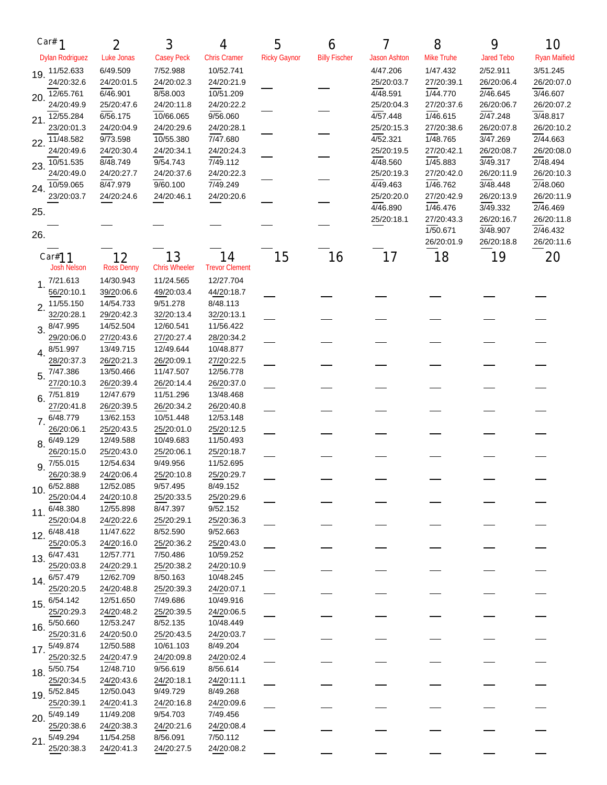| Car# $1$                       | 2                       | 3                          | 4                           | 5                   | 6                    |                        | 8                      | 9                      | 10                     |
|--------------------------------|-------------------------|----------------------------|-----------------------------|---------------------|----------------------|------------------------|------------------------|------------------------|------------------------|
| <b>Dylan Rodriguez</b>         | Luke Jonas              | <b>Casey Peck</b>          | <b>Chris Cramer</b>         | <b>Ricky Gaynor</b> | <b>Billy Fischer</b> | <b>Jason Ashton</b>    | Mike Truhe             | <b>Jared Tebo</b>      | <b>Ryan Maifield</b>   |
| 11/52.633                      | 6/49.509                | 7/52.988                   | 10/52.741                   |                     |                      | 4/47.206               | 1/47.432               | 2/52.911               | 3/51.245               |
| 19.<br>24/20:32.6              | 24/20:01.5              | 24/20:02.3                 | 24/20:21.9                  |                     |                      | 25/20:03.7             | 27/20:39.1             | 26/20:06.4             | 26/20:07.0             |
| 12/65.761<br>20.               | 6/46.901                | 8/58.003                   | 10/51.209                   |                     |                      | 4/48.591               | 1/44.770               | 2/46.645               | 3/46.607               |
| 24/20:49.9                     | 25/20:47.6              | 24/20:11.8                 | 24/20:22.2                  |                     |                      | 25/20:04.3             | 27/20:37.6             | 26/20:06.7             | 26/20:07.2             |
| 12/55.284<br>21.               | 6/56.175                | 10/66.065                  | 9/56.060                    |                     |                      | 4/57.448               | 1/46.615               | 2/47.248               | 3/48.817               |
| 23/20:01.3                     | 24/20:04.9              | 24/20:29.6                 | 24/20:28.1                  |                     |                      | 25/20:15.3             | 27/20:38.6             | 26/20:07.8             | 26/20:10.2             |
| 11/48.582<br>22.               | 9/73.598                | 10/55.380                  | $\sqrt{7/47.680}$           |                     |                      | 4/52.321               | 1/48.765               | 3/47.269               | 2/44.663               |
| 24/20:49.6                     | 24/20:30.4              | 24/20:34.1                 | 24/20:24.3                  |                     |                      | 25/20:19.5             | 27/20:42.1             | 26/20:08.7             | 26/20:08.0             |
| 10/51.535<br>23.               | 8/48.749                | 9/54.743                   | $\sqrt{7/49.112}$           |                     |                      | 4/48.560               | 1/45.883               | 3/49.317               | 2/48.494               |
| 24/20:49.0                     | 24/20:27.7              | 24/20:37.6                 | 24/20:22.3                  |                     |                      | 25/20:19.3             | 27/20:42.0             | 26/20:11.9             | 26/20:10.3             |
| 10/59.065<br>24.               | 8/47.979                | 9/60.100                   | 7/49.249                    |                     |                      | 4/49.463               | 1/46.762               | 3/48.448               | 2/48.060               |
| 23/20:03.7                     | 24/20:24.6              | 24/20:46.1                 | 24/20:20.6                  |                     |                      | 25/20:20.0<br>4/46.890 | 27/20:42.9<br>1/46.476 | 26/20:13.9<br>3/49.332 | 26/20:11.9             |
| 25.                            |                         |                            |                             |                     |                      | 25/20:18.1             | 27/20:43.3             | 26/20:16.7             | 2/46.469<br>26/20:11.8 |
|                                |                         |                            |                             |                     |                      |                        | 1/50.671               | 3/48.907               | 2/46.432               |
| 26.                            |                         |                            |                             |                     |                      |                        | 26/20:01.9             | 26/20:18.8             | 26/20:11.6             |
|                                |                         |                            |                             |                     |                      |                        |                        |                        |                        |
| Car#11<br><b>Josh Nelson</b>   | 12                      | 13<br><b>Chris Wheeler</b> | 14<br><b>Trevor Clement</b> | 15                  | 16                   | 17                     | 18                     | 19                     | 20                     |
|                                | <b>Ross Denny</b>       |                            |                             |                     |                      |                        |                        |                        |                        |
| 7/21.613<br>1.<br>56/20:10.1   | 14/30.943<br>39/20:06.6 | 11/24.565<br>49/20:03.4    | 12/27.704<br>44/20:18.7     |                     |                      |                        |                        |                        |                        |
| 11/55.150                      | 14/54.733               | 9/51.278                   | 8/48.113                    |                     |                      |                        |                        |                        |                        |
| $\overline{2}$ .<br>32/20:28.1 | 29/20:42.3              | 32/20:13.4                 | 32/20:13.1                  |                     |                      |                        |                        |                        |                        |
| 8/47.995                       | 14/52.504               | 12/60.541                  | 11/56.422                   |                     |                      |                        |                        |                        |                        |
| 3.<br>29/20:06.0               | 27/20:43.6              | 27/20:27.4                 | 28/20:34.2                  |                     |                      |                        |                        |                        |                        |
| 8/51.997<br>4.                 | 13/49.715               | 12/49.644                  | 10/48.877                   |                     |                      |                        |                        |                        |                        |
| 28/20:37.3                     | 26/20:21.3              | 26/20:09.1                 | 27/20:22.5                  |                     |                      |                        |                        |                        |                        |
| 7/47.386<br>5.                 | 13/50.466               | 11/47.507                  | 12/56.778                   |                     |                      |                        |                        |                        |                        |
| 27/20:10.3                     | 26/20:39.4              | 26/20:14.4                 | 26/20:37.0                  |                     |                      |                        |                        |                        |                        |
| 7/51.819<br>6.                 | 12/47.679               | 11/51.296                  | 13/48.468                   |                     |                      |                        |                        |                        |                        |
| 27/20:41.8                     | 26/20:39.5              | 26/20:34.2                 | 26/20:40.8                  |                     |                      |                        |                        |                        |                        |
| 7. 6/48.779                    | 13/62.153               | 10/51.448                  | 12/53.148                   |                     |                      |                        |                        |                        |                        |
| 26/20:06.1                     | 25/20:43.5              | 25/20:01.0                 | 25/20:12.5                  |                     |                      |                        |                        |                        |                        |
| 6/49.129<br>8.                 | 12/49.588               | 10/49.683                  | 11/50.493                   |                     |                      |                        |                        |                        |                        |
| 26/20:15.0                     | 25/20:43.0              | 25/20:06.1                 | 25/20:18.7                  |                     |                      |                        |                        |                        |                        |
| 7/55.015<br>9.                 | 12/54.634               | 9/49.956                   | 11/52.695                   |                     |                      |                        |                        |                        |                        |
| 26/20:38.9<br>6/52.888         | 24/20:06.4<br>12/52.085 | 25/20:10.8<br>9/57.495     | 25/20:29.7<br>8/49.152      |                     |                      |                        |                        |                        |                        |
| 10.<br>25/20:04.4              | 24/20:10.8              | 25/20:33.5                 | 25/20:29.6                  |                     |                      |                        |                        |                        |                        |
| 6/48.380                       | 12/55.898               | 8/47.397                   | 9/52.152                    |                     |                      |                        |                        |                        |                        |
| 11.<br>25/20:04.8              | 24/20:22.6              | 25/20:29.1                 | 25/20:36.3                  |                     |                      |                        |                        |                        |                        |
| 6/48.418                       | 11/47.622               | 8/52.590                   | 9/52.663                    |                     |                      |                        |                        |                        |                        |
| 12.<br>25/20:05.3              | 24/20:16.0              | 25/20:36.2                 | 25/20:43.0                  |                     |                      |                        |                        |                        |                        |
| 6/47.431<br>13.                | 12/57.771               | 7/50.486                   | 10/59.252                   |                     |                      |                        |                        |                        |                        |
| 25/20:03.8                     | 24/20:29.1              | 25/20:38.2                 | 24/20:10.9                  |                     |                      |                        |                        |                        |                        |
| 6/57.479<br>14.                | 12/62.709               | 8/50.163                   | 10/48.245                   |                     |                      |                        |                        |                        |                        |
| 25/20:20.5                     | 24/20:48.8              | 25/20:39.3                 | 24/20:07.1                  |                     |                      |                        |                        |                        |                        |
| 6/54.142<br>15.                | 12/51.650               | 7/49.686                   | 10/49.916                   |                     |                      |                        |                        |                        |                        |
| 25/20:29.3                     | 24/20:48.2              | 25/20:39.5                 | 24/20:06.5                  |                     |                      |                        |                        |                        |                        |
| 5/50.660<br>16.                | 12/53.247               | 8/52.135                   | 10/48.449                   |                     |                      |                        |                        |                        |                        |
| 25/20:31.6                     | 24/20:50.0              | 25/20:43.5                 | 24/20:03.7                  |                     |                      |                        |                        |                        |                        |
| 5/49.874<br>17.                | 12/50.588               | 10/61.103                  | 8/49.204                    |                     |                      |                        |                        |                        |                        |
| 25/20:32.5<br>5/50.754         | 24/20:47.9<br>12/48.710 | 24/20:09.8<br>9/56.619     | 24/20:02.4<br>8/56.614      |                     |                      |                        |                        |                        |                        |
| 18.<br>25/20:34.5              | 24/20:43.6              | 24/20:18.1                 | 24/20:11.1                  |                     |                      |                        |                        |                        |                        |
| 5/52.845                       | 12/50.043               | 9/49.729                   | 8/49.268                    |                     |                      |                        |                        |                        |                        |
| 19.<br>25/20:39.1              | 24/20:41.3              | 24/20:16.8                 | 24/20:09.6                  |                     |                      |                        |                        |                        |                        |
| 5/49.149<br>20.                | 11/49.208               | 9/54.703                   | 7/49.456                    |                     |                      |                        |                        |                        |                        |
| 25/20:38.6                     | 24/20:38.3              | 24/20:21.6                 | 24/20:08.4                  |                     |                      |                        |                        |                        |                        |
| 5/49.294<br>21.                | 11/54.258               | 8/56.091                   | 7/50.112                    |                     |                      |                        |                        |                        |                        |
| 25/20:38.3                     | 24/20:41.3              | 24/20:27.5                 | 24/20:08.2                  |                     |                      |                        |                        |                        |                        |